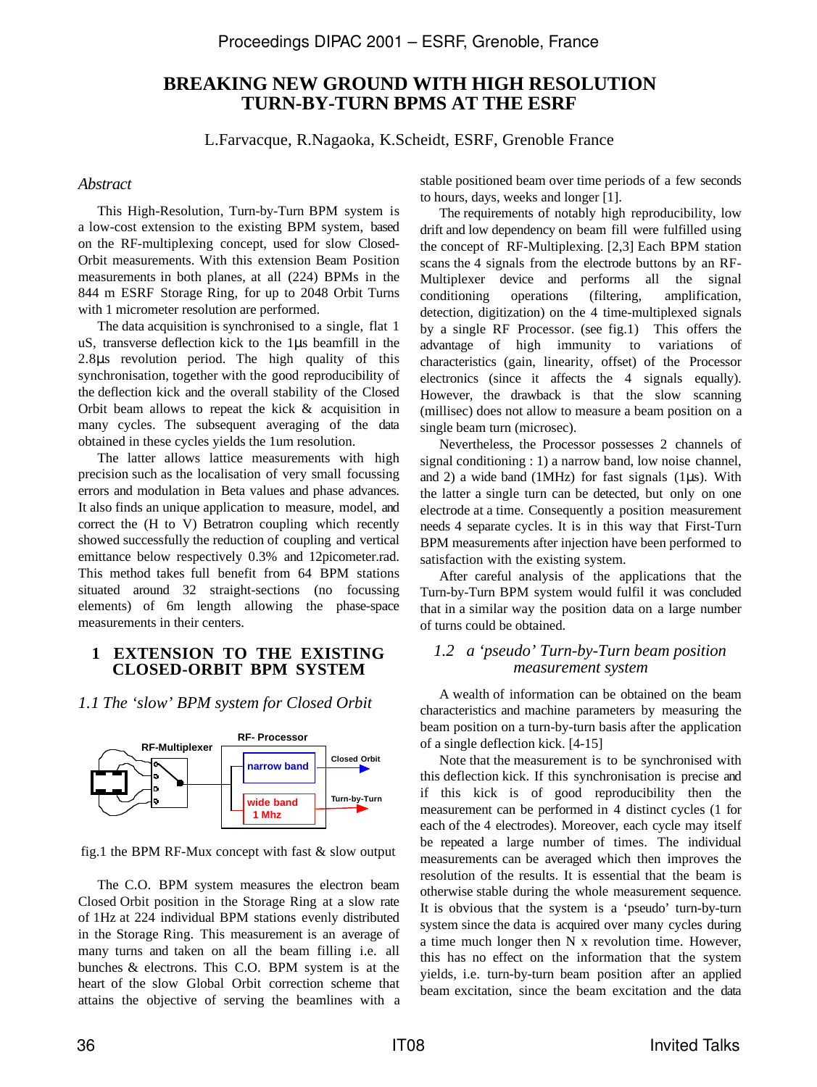# **BREAKING NEW GROUND WITH HIGH RESOLUTION TURN-BY-TURN BPMS AT THE ESRF**

L.Farvacque, R.Nagaoka, K.Scheidt, ESRF, Grenoble France

## *Abstract*

This High-Resolution, Turn-by-Turn BPM system is a low-cost extension to the existing BPM system, based on the RF-multiplexing concept, used for slow Closed-Orbit measurements. With this extension Beam Position measurements in both planes, at all (224) BPMs in the 844 m ESRF Storage Ring, for up to 2048 Orbit Turns with 1 micrometer resolution are performed.

The data acquisition is synchronised to a single, flat 1 uS, transverse deflection kick to the 1µs beamfill in the 2.8µs revolution period. The high quality of this synchronisation, together with the good reproducibility of the deflection kick and the overall stability of the Closed Orbit beam allows to repeat the kick & acquisition in many cycles. The subsequent averaging of the data obtained in these cycles yields the 1um resolution.

The latter allows lattice measurements with high precision such as the localisation of very small focussing errors and modulation in Beta values and phase advances. It also finds an unique application to measure, model, and correct the (H to V) Betratron coupling which recently showed successfully the reduction of coupling and vertical emittance below respectively 0.3% and 12picometer.rad. This method takes full benefit from 64 BPM stations situated around 32 straight-sections (no focussing elements) of 6m length allowing the phase-space measurements in their centers.

# **1 EXTENSION TO THE EXISTING CLOSED-ORBIT BPM SYSTEM**

*1.1 The 'slow' BPM system for Closed Orbit* 



fig.1 the BPM RF-Mux concept with fast & slow output

The C.O. BPM system measures the electron beam Closed Orbit position in the Storage Ring at a slow rate of 1Hz at 224 individual BPM stations evenly distributed in the Storage Ring. This measurement is an average of many turns and taken on all the beam filling i.e. all bunches & electrons. This C.O. BPM system is at the heart of the slow Global Orbit correction scheme that attains the objective of serving the beamlines with a stable positioned beam over time periods of a few seconds to hours, days, weeks and longer [1].

The requirements of notably high reproducibility, low drift and low dependency on beam fill were fulfilled using the concept of RF-Multiplexing. [2,3] Each BPM station scans the 4 signals from the electrode buttons by an RF-Multiplexer device and performs all the signal conditioning operations (filtering, amplification, detection, digitization) on the 4 time-multiplexed signals by a single RF Processor. (see fig.1) This offers the advantage of high immunity to variations of characteristics (gain, linearity, offset) of the Processor electronics (since it affects the 4 signals equally). However, the drawback is that the slow scanning (millisec) does not allow to measure a beam position on a single beam turn (microsec).

Nevertheless, the Processor possesses 2 channels of signal conditioning : 1) a narrow band, low noise channel, and 2) a wide band (1MHz) for fast signals ( $1\mu$ s). With the latter a single turn can be detected, but only on one electrode at a time. Consequently a position measurement needs 4 separate cycles. It is in this way that First-Turn BPM measurements after injection have been performed to satisfaction with the existing system.

After careful analysis of the applications that the Turn-by-Turn BPM system would fulfil it was concluded that in a similar way the position data on a large number of turns could be obtained.

## *1.2 a 'pseudo' Turn-by-Turn beam position measurement system*

A wealth of information can be obtained on the beam characteristics and machine parameters by measuring the beam position on a turn-by-turn basis after the application of a single deflection kick. [4-15]

Note that the measurement is to be synchronised with this deflection kick. If this synchronisation is precise and if this kick is of good reproducibility then the measurement can be performed in 4 distinct cycles (1 for each of the 4 electrodes). Moreover, each cycle may itself be repeated a large number of times. The individual measurements can be averaged which then improves the resolution of the results. It is essential that the beam is otherwise stable during the whole measurement sequence. It is obvious that the system is a 'pseudo' turn-by-turn system since the data is acquired over many cycles during a time much longer then N x revolution time. However, this has no effect on the information that the system yields, i.e. turn-by-turn beam position after an applied beam excitation, since the beam excitation and the data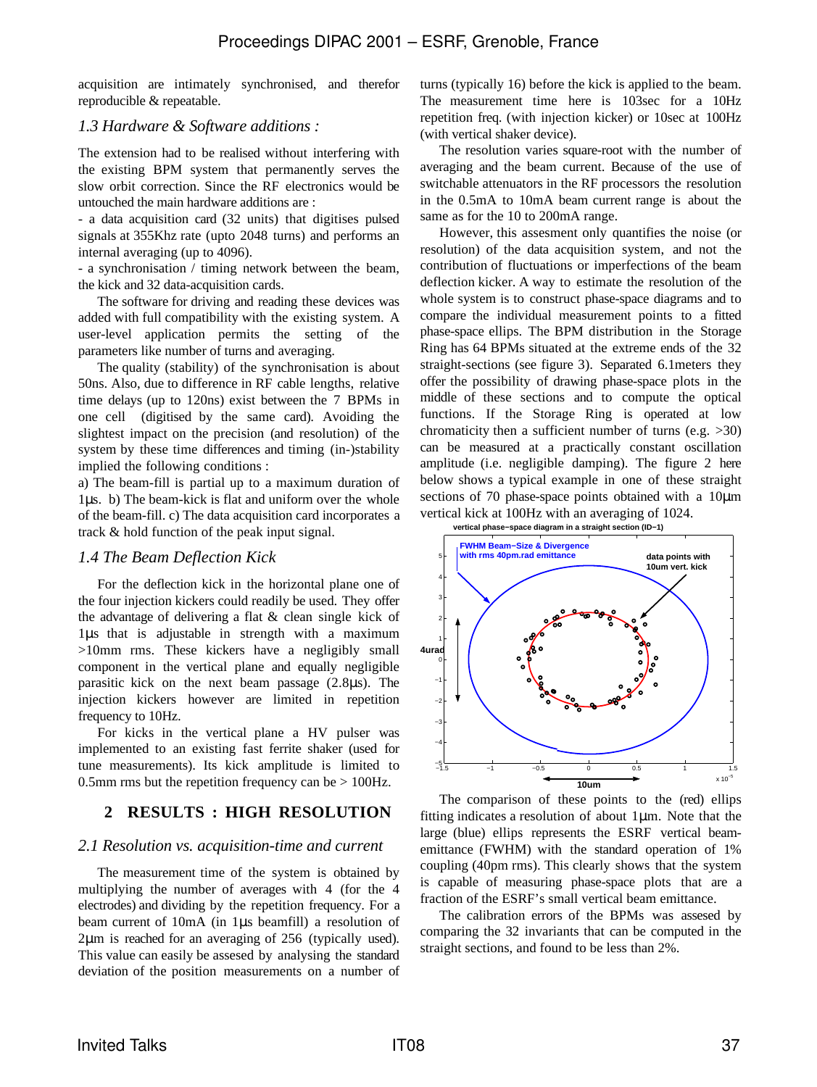acquisition are intimately synchronised, and therefor reproducible & repeatable.

# *1.3 Hardware & Software additions :*

The extension had to be realised without interfering with the existing BPM system that permanently serves the slow orbit correction. Since the RF electronics would be untouched the main hardware additions are :

- a data acquisition card (32 units) that digitises pulsed signals at 355Khz rate (upto 2048 turns) and performs an internal averaging (up to 4096).

- a synchronisation / timing network between the beam, the kick and 32 data-acquisition cards.

The software for driving and reading these devices was added with full compatibility with the existing system. A user-level application permits the setting of the parameters like number of turns and averaging.

The quality (stability) of the synchronisation is about 50ns. Also, due to difference in RF cable lengths, relative time delays (up to 120ns) exist between the 7 BPMs in one cell (digitised by the same card). Avoiding the slightest impact on the precision (and resolution) of the system by these time differences and timing (in-)stability implied the following conditions :

a) The beam-fill is partial up to a maximum duration of 1µs. b) The beam-kick is flat and uniform over the whole of the beam-fill. c) The data acquisition card incorporates a track & hold function of the peak input signal.

# *1.4 The Beam Deflection Kick*

For the deflection kick in the horizontal plane one of the four injection kickers could readily be used. They offer the advantage of delivering a flat & clean single kick of 1µs that is adjustable in strength with a maximum >10mm rms. These kickers have a negligibly small component in the vertical plane and equally negligible parasitic kick on the next beam passage (2.8µs). The injection kickers however are limited in repetition frequency to 10Hz.

For kicks in the vertical plane a HV pulser was implemented to an existing fast ferrite shaker (used for tune measurements). Its kick amplitude is limited to 0.5mm rms but the repetition frequency can be  $> 100$ Hz.

# **2 RESULTS : HIGH RESOLUTION**

# *2.1 Resolution vs. acquisition-time and current*

The measurement time of the system is obtained by multiplying the number of averages with 4 (for the 4 electrodes) and dividing by the repetition frequency. For a beam current of 10mA (in 1µs beamfill) a resolution of 2µm is reached for an averaging of 256 (typically used). This value can easily be assesed by analysing the standard deviation of the position measurements on a number of turns (typically 16) before the kick is applied to the beam. The measurement time here is 103sec for a 10Hz repetition freq. (with injection kicker) or 10sec at 100Hz (with vertical shaker device).

The resolution varies square-root with the number of averaging and the beam current. Because of the use of switchable attenuators in the RF processors the resolution in the 0.5mA to 10mA beam current range is about the same as for the 10 to 200mA range.

However, this assesment only quantifies the noise (or resolution) of the data acquisition system, and not the contribution of fluctuations or imperfections of the beam deflection kicker. A way to estimate the resolution of the whole system is to construct phase-space diagrams and to compare the individual measurement points to a fitted phase-space ellips. The BPM distribution in the Storage Ring has 64 BPMs situated at the extreme ends of the 32 straight-sections (see figure 3). Separated 6.1meters they offer the possibility of drawing phase-space plots in the middle of these sections and to compute the optical functions. If the Storage Ring is operated at low chromaticity then a sufficient number of turns (e.g. >30) can be measured at a practically constant oscillation amplitude (i.e. negligible damping). The figure 2 here below shows a typical example in one of these straight sections of 70 phase-space points obtained with a 10µm vertical kick at 100Hz with an averaging of 1024.



The comparison of these points to the (red) ellips fitting indicates a resolution of about 1µm. Note that the large (blue) ellips represents the ESRF vertical beamemittance (FWHM) with the standard operation of 1% coupling (40pm rms). This clearly shows that the system is capable of measuring phase-space plots that are a fraction of the ESRF's small vertical beam emittance.

The calibration errors of the BPMs was assesed by comparing the 32 invariants that can be computed in the straight sections, and found to be less than 2%.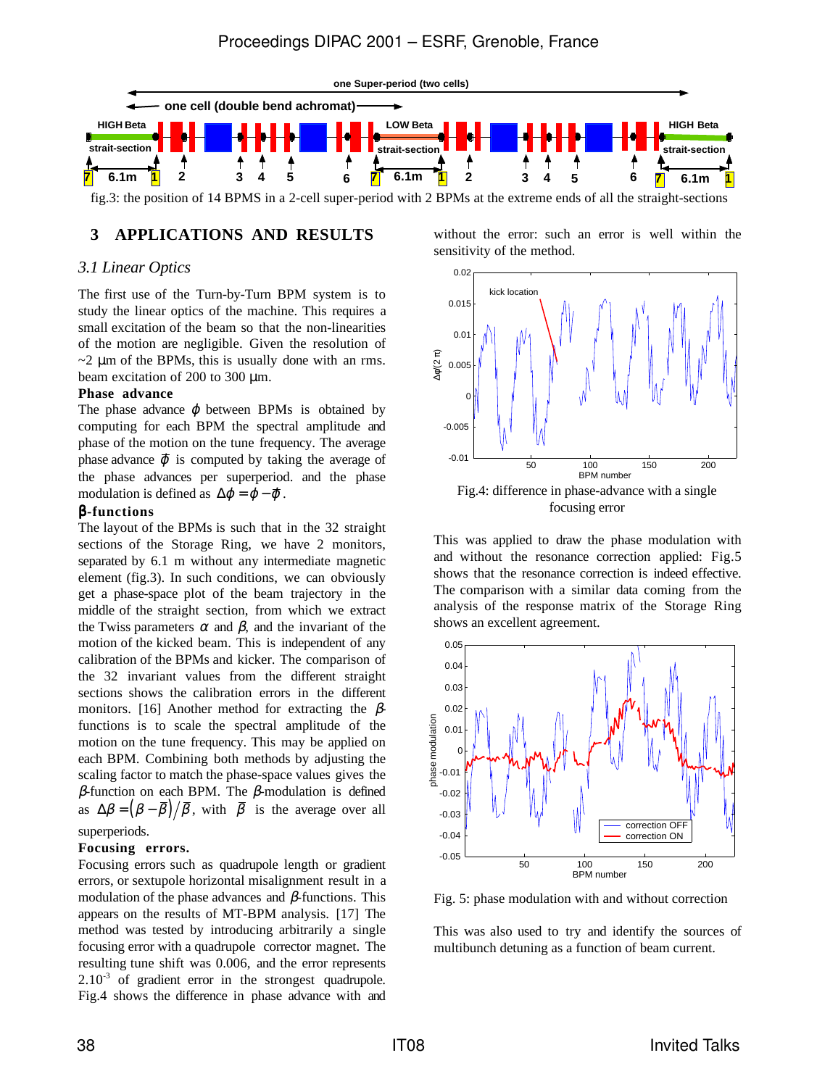

fig.3: the position of 14 BPMS in a 2-cell super-period with 2 BPMs at the extreme ends of all the straight-sections

#### **3 APPLICATIONS AND RESULTS**

### *3.1 Linear Optics*

The first use of the Turn-by-Turn BPM system is to study the linear optics of the machine. This requires a small excitation of the beam so that the non-linearities of the motion are negligible. Given the resolution of  $\sim$ 2  $\mu$ m of the BPMs, this is usually done with an rms. beam excitation of 200 to 300 µm.

#### **Phase advance**

The phase advance  $\boldsymbol{\omega}$  between BPMs is obtained by computing for each BPM the spectral amplitude and phase of the motion on the tune frequency. The average phase advance  $\bar{\varphi}$  is computed by taking the average of the phase advances per superperiod. and the phase modulation is defined as  $\Delta \varphi = \varphi - \overline{\varphi}$ .

#### β**-functions**

The layout of the BPMs is such that in the 32 straight sections of the Storage Ring, we have 2 monitors, separated by 6.1 m without any intermediate magnetic element (fig.3). In such conditions, we can obviously get a phase-space plot of the beam trajectory in the middle of the straight section, from which we extract the Twiss parameters  $\alpha$  and  $\beta$ , and the invariant of the motion of the kicked beam. This is independent of any calibration of the BPMs and kicker. The comparison of the 32 invariant values from the different straight sections shows the calibration errors in the different monitors. [16] Another method for extracting the  $\beta$ functions is to scale the spectral amplitude of the motion on the tune frequency. This may be applied on each BPM. Combining both methods by adjusting the scaling factor to match the phase-space values gives the β-function on each BPM. The β-modulation is defined as  $\Delta \beta = (\beta - \beta)/\beta$ , with  $\beta$  is the average over all superperiods.

#### **Focusing errors.**

Focusing errors such as quadrupole length or gradient errors, or sextupole horizontal misalignment result in a modulation of the phase advances and  $\beta$ -functions. This appears on the results of MT-BPM analysis. [17] The method was tested by introducing arbitrarily a single focusing error with a quadrupole corrector magnet. The resulting tune shift was 0.006, and the error represents  $2.10<sup>-3</sup>$  of gradient error in the strongest quadrupole. Fig.4 shows the difference in phase advance with and without the error: such an error is well within the sensitivity of the method.



focusing error

This was applied to draw the phase modulation with and without the resonance correction applied: Fig.5 shows that the resonance correction is indeed effective. The comparison with a similar data coming from the analysis of the response matrix of the Storage Ring shows an excellent agreement.



Fig. 5: phase modulation with and without correction

This was also used to try and identify the sources of multibunch detuning as a function of beam current.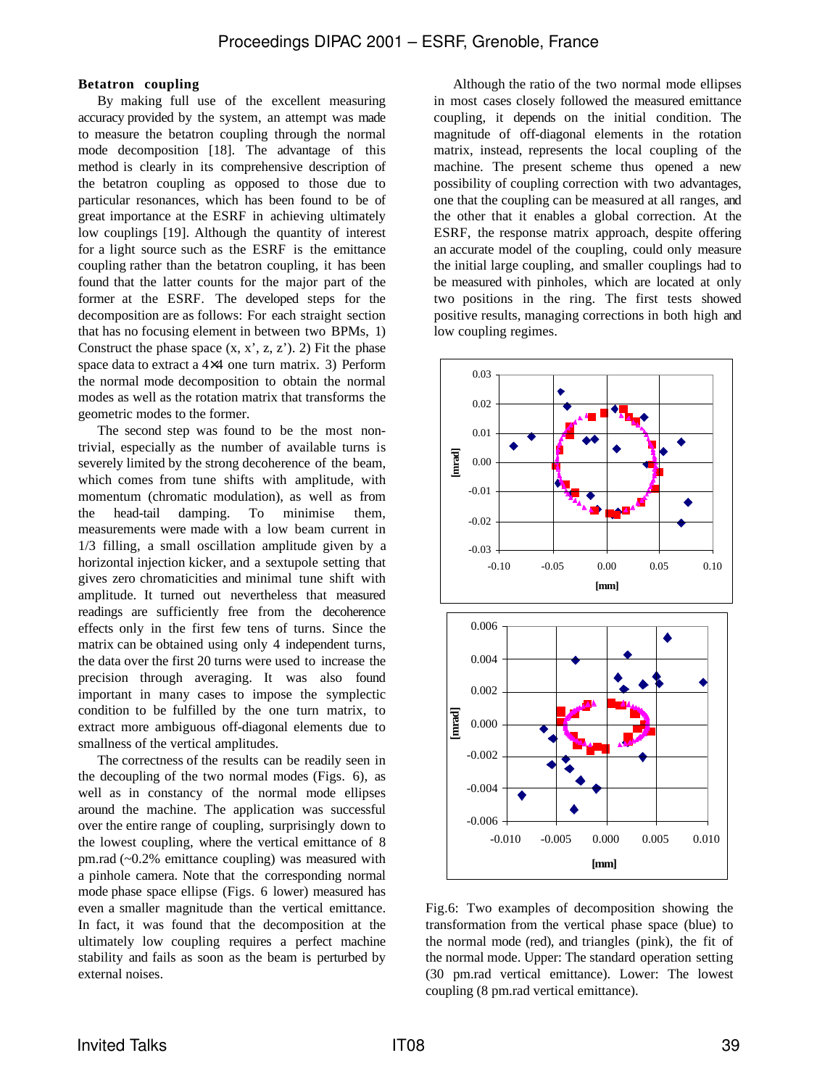#### **Betatron coupling**

By making full use of the excellent measuring accuracy provided by the system, an attempt was made to measure the betatron coupling through the normal mode decomposition [18]. The advantage of this method is clearly in its comprehensive description of the betatron coupling as opposed to those due to particular resonances, which has been found to be of great importance at the ESRF in achieving ultimately low couplings [19]. Although the quantity of interest for a light source such as the ESRF is the emittance coupling rather than the betatron coupling, it has been found that the latter counts for the major part of the former at the ESRF. The developed steps for the decomposition are as follows: For each straight section that has no focusing element in between two BPMs, 1) Construct the phase space  $(x, x', z, z')$ . 2) Fit the phase space data to extract a 4×4 one turn matrix. 3) Perform the normal mode decomposition to obtain the normal modes as well as the rotation matrix that transforms the geometric modes to the former.

The second step was found to be the most nontrivial, especially as the number of available turns is severely limited by the strong decoherence of the beam, which comes from tune shifts with amplitude, with momentum (chromatic modulation), as well as from the head-tail damping. To minimise them, measurements were made with a low beam current in 1/3 filling, a small oscillation amplitude given by a horizontal injection kicker, and a sextupole setting that gives zero chromaticities and minimal tune shift with amplitude. It turned out nevertheless that measured readings are sufficiently free from the decoherence effects only in the first few tens of turns. Since the matrix can be obtained using only 4 independent turns, the data over the first 20 turns were used to increase the precision through averaging. It was also found important in many cases to impose the symplectic condition to be fulfilled by the one turn matrix, to extract more ambiguous off-diagonal elements due to smallness of the vertical amplitudes.

The correctness of the results can be readily seen in the decoupling of the two normal modes (Figs. 6), as well as in constancy of the normal mode ellipses around the machine. The application was successful over the entire range of coupling, surprisingly down to the lowest coupling, where the vertical emittance of 8 pm.rad (~0.2% emittance coupling) was measured with a pinhole camera. Note that the corresponding normal mode phase space ellipse (Figs. 6 lower) measured has even a smaller magnitude than the vertical emittance. In fact, it was found that the decomposition at the ultimately low coupling requires a perfect machine stability and fails as soon as the beam is perturbed by external noises.

Although the ratio of the two normal mode ellipses in most cases closely followed the measured emittance coupling, it depends on the initial condition. The magnitude of off-diagonal elements in the rotation matrix, instead, represents the local coupling of the machine. The present scheme thus opened a new possibility of coupling correction with two advantages, one that the coupling can be measured at all ranges, and the other that it enables a global correction. At the ESRF, the response matrix approach, despite offering an accurate model of the coupling, could only measure the initial large coupling, and smaller couplings had to be measured with pinholes, which are located at only two positions in the ring. The first tests showed positive results, managing corrections in both high and low coupling regimes.



Fig.6: Two examples of decomposition showing the transformation from the vertical phase space (blue) to the normal mode (red), and triangles (pink), the fit of the normal mode. Upper: The standard operation setting (30 pm.rad vertical emittance). Lower: The lowest coupling (8 pm.rad vertical emittance).